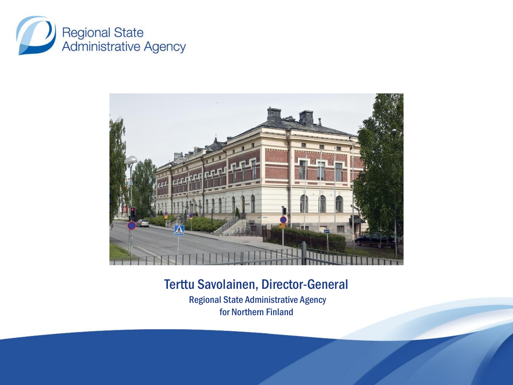



Terttu Savolainen, Director-General Regional State Administrative Agency for Northern Finland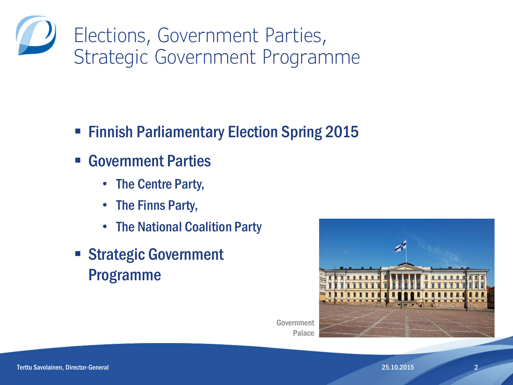Elections, Government Parties, Strategic Government Programme

- **Finnish Parliamentary Election Spring 2015**
- Government Parties
	- The Centre Party,
	- The Finns Party,
	- The National Coalition Party
- **Strategic Government** Programme



Government Palace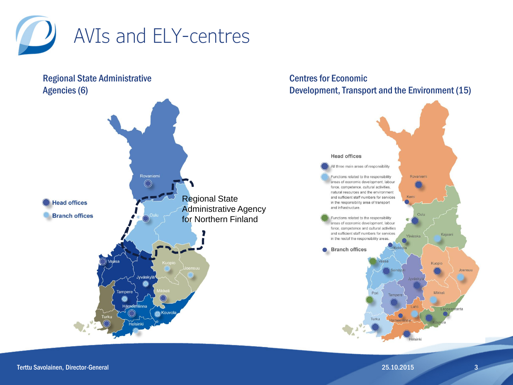

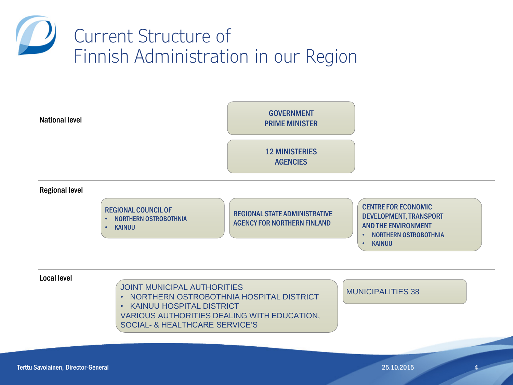

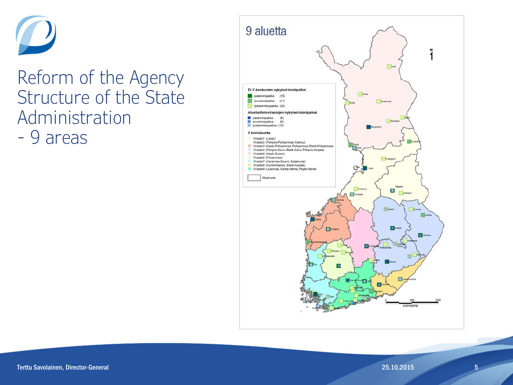

## Reform of the Agency Structure of the State Administration - 9 areas

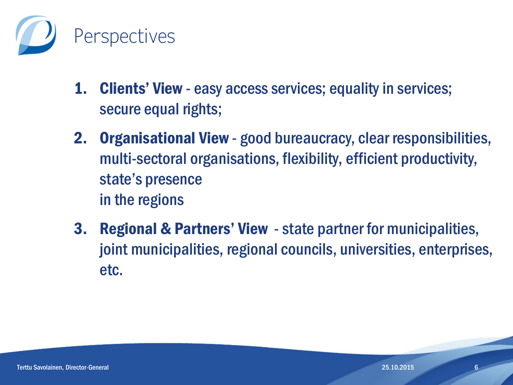

- 1. Clients' View easy access services; equality in services; secure equal rights;
- 2. Organisational View good bureaucracy, clear responsibilities, multi-sectoral organisations, flexibility, efficient productivity, state's presence in the regions
- **3. Regional & Partners' View** state partner for municipalities, joint municipalities, regional councils, universities, enterprises, etc.